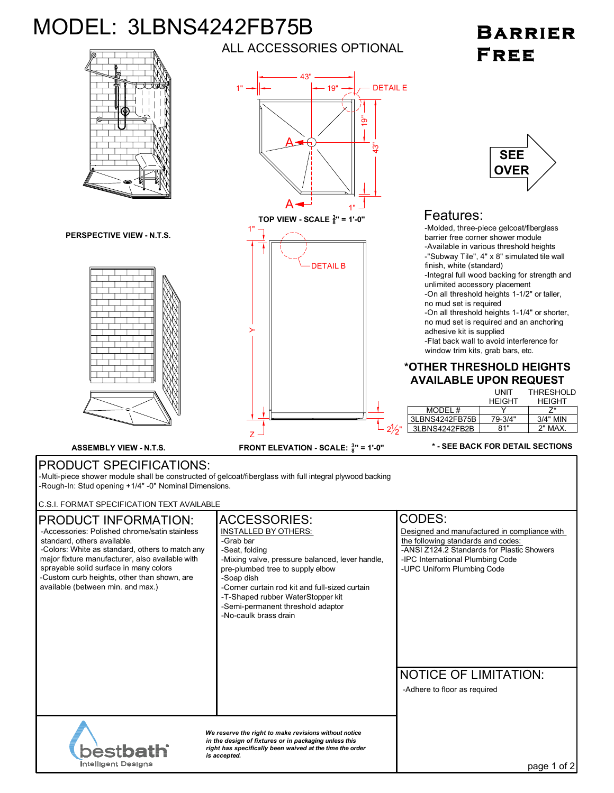

page 1 of 2